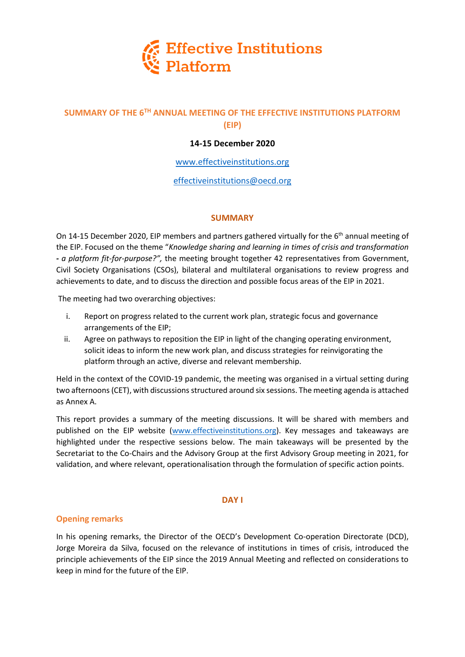

# **SUMMARY OF THE 6TH ANNUAL MEETING OF THE EFFECTIVE INSTITUTIONS PLATFORM (EIP)**

# **14-15 December 2020**

## [www.effectiveinstitutions.org](http://www.effectiveinstitutions.org/)

## effectiveinstitutions@oecd.org

#### **SUMMARY**

On 14-15 December 2020, EIP members and partners gathered virtually for the 6<sup>th</sup> annual meeting of the EIP. Focused on the theme "*Knowledge sharing and learning in times of crisis and transformation - a platform fit-for-purpose?",* the meeting brought together 42 representatives from Government, Civil Society Organisations (CSOs), bilateral and multilateral organisations to review progress and achievements to date, and to discuss the direction and possible focus areas of the EIP in 2021.

The meeting had two overarching objectives:

- i. Report on progress related to the current work plan, strategic focus and governance arrangements of the EIP;
- ii. Agree on pathways to reposition the EIP in light of the changing operating environment, solicit ideas to inform the new work plan, and discuss strategies for reinvigorating the platform through an active, diverse and relevant membership.

Held in the context of the COVID-19 pandemic, the meeting was organised in a virtual setting during two afternoons (CET), with discussions structured around six sessions. The meeting agenda is attached as Annex A.

This report provides a summary of the meeting discussions. It will be shared with members and published on the EIP website [\(www.effectiveinstitutions.org\)](http://www.effectiveinstitutions.org/). Key messages and takeaways are highlighted under the respective sessions below. The main takeaways will be presented by the Secretariat to the Co-Chairs and the Advisory Group at the first Advisory Group meeting in 2021, for validation, and where relevant, operationalisation through the formulation of specific action points.

#### **DAY I**

## **Opening remarks**

In his opening remarks, the Director of the OECD's Development Co-operation Directorate (DCD), Jorge Moreira da Silva, focused on the relevance of institutions in times of crisis, introduced the principle achievements of the EIP since the 2019 Annual Meeting and reflected on considerations to keep in mind for the future of the EIP.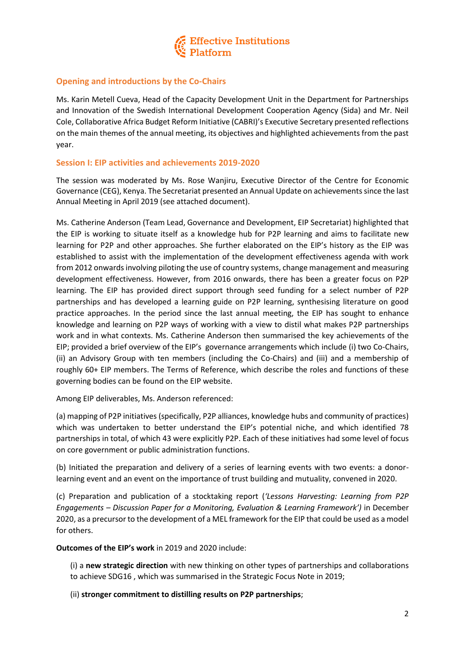

## **Opening and introductions by the Co-Chairs**

Ms. Karin Metell Cueva, Head of the Capacity Development Unit in the Department for Partnerships and Innovation of the Swedish International Development Cooperation Agency (Sida) and Mr. Neil Cole, Collaborative Africa Budget Reform Initiative (CABRI)'s Executive Secretary presented reflections on the main themes of the annual meeting, its objectives and highlighted achievements from the past year.

#### **Session I: EIP activities and achievements 2019-2020**

The session was moderated by Ms. Rose Wanjiru, Executive Director of the Centre for Economic Governance (CEG), Kenya. The Secretariat presented an Annual Update on achievements since the last Annual Meeting in April 2019 (see attached document).

Ms. Catherine Anderson (Team Lead, Governance and Development, EIP Secretariat) highlighted that the EIP is working to situate itself as a knowledge hub for P2P learning and aims to facilitate new learning for P2P and other approaches. She further elaborated on the EIP's history as the EIP was established to assist with the implementation of the development effectiveness agenda with work from 2012 onwards involving piloting the use of country systems, change management and measuring development effectiveness. However, from 2016 onwards, there has been a greater focus on P2P learning. The EIP has provided direct support through seed funding for a select number of P2P partnerships and has developed a learning guide on P2P learning, synthesising literature on good practice approaches. In the period since the last annual meeting, the EIP has sought to enhance knowledge and learning on P2P ways of working with a view to distil what makes P2P partnerships work and in what contexts. Ms. Catherine Anderson then summarised the key achievements of the EIP; provided a brief overview of the EIP's governance arrangements which include (i) two Co-Chairs, (ii) an Advisory Group with ten members (including the Co-Chairs) and (iii) and a membership of roughly 60+ EIP members. The Terms of Reference, which describe the roles and functions of these governing bodies can be found on the EIP website.

Among EIP deliverables, Ms. Anderson referenced:

(a) mapping of P2P initiatives (specifically, P2P alliances, knowledge hubs and community of practices) which was undertaken to better understand the EIP's potential niche, and which identified 78 partnerships in total, of which 43 were explicitly P2P. Each of these initiatives had some level of focus on core government or public administration functions.

(b) Initiated the preparation and delivery of a series of learning events with two events: a donorlearning event and an event on the importance of trust building and mutuality, convened in 2020.

(c) Preparation and publication of a stocktaking report (*'Lessons Harvesting: Learning from P2P Engagements – Discussion Paper for a Monitoring, Evaluation & Learning Framework')* in December 2020, as a precursor to the development of a MEL framework for the EIP that could be used as a model for others.

**Outcomes of the EIP's work** in 2019 and 2020 include:

(i) a **new strategic direction** with new thinking on other types of partnerships and collaborations to achieve SDG16 , which was summarised in the Strategic Focus Note in 2019;

(ii) **stronger commitment to distilling results on P2P partnerships**;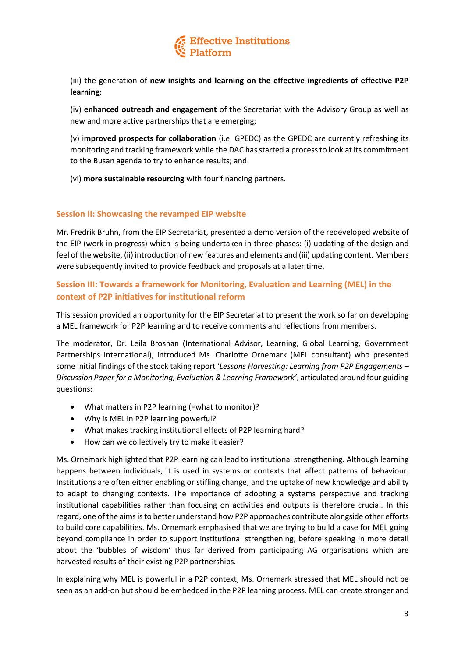

(iii) the generation of **new insights and learning on the effective ingredients of effective P2P learning**;

(iv) **enhanced outreach and engagement** of the Secretariat with the Advisory Group as well as new and more active partnerships that are emerging;

(v) i**mproved prospects for collaboration** (i.e. GPEDC) as the GPEDC are currently refreshing its monitoring and tracking framework while the DAC has started a process to look at its commitment to the Busan agenda to try to enhance results; and

(vi) **more sustainable resourcing** with four financing partners.

#### **Session II: Showcasing the revamped EIP website**

Mr. Fredrik Bruhn, from the EIP Secretariat, presented a demo version of the redeveloped website of the EIP (work in progress) which is being undertaken in three phases: (i) updating of the design and feel of the website, (ii) introduction of new features and elements and (iii) updating content. Members were subsequently invited to provide feedback and proposals at a later time.

# **Session III: Towards a framework for Monitoring, Evaluation and Learning (MEL) in the context of P2P initiatives for institutional reform**

This session provided an opportunity for the EIP Secretariat to present the work so far on developing a MEL framework for P2P learning and to receive comments and reflections from members.

The moderator, Dr. Leila Brosnan (International Advisor, Learning, Global Learning, Government Partnerships International), introduced Ms. Charlotte Ornemark (MEL consultant) who presented some initial findings of the stock taking report '*Lessons Harvesting: Learning from P2P Engagements – Discussion Paper for a Monitoring, Evaluation & Learning Framework'*, articulated around four guiding questions:

- What matters in P2P learning (=what to monitor)?
- Why is MEL in P2P learning powerful?
- What makes tracking institutional effects of P2P learning hard?
- How can we collectively try to make it easier?

Ms. Ornemark highlighted that P2P learning can lead to institutional strengthening. Although learning happens between individuals, it is used in systems or contexts that affect patterns of behaviour. Institutions are often either enabling or stifling change, and the uptake of new knowledge and ability to adapt to changing contexts. The importance of adopting a systems perspective and tracking institutional capabilities rather than focusing on activities and outputs is therefore crucial. In this regard, one of the aims is to better understand how P2P approaches contribute alongside other efforts to build core capabilities. Ms. Ornemark emphasised that we are trying to build a case for MEL going beyond compliance in order to support institutional strengthening, before speaking in more detail about the 'bubbles of wisdom' thus far derived from participating AG organisations which are harvested results of their existing P2P partnerships.

In explaining why MEL is powerful in a P2P context, Ms. Ornemark stressed that MEL should not be seen as an add-on but should be embedded in the P2P learning process. MEL can create stronger and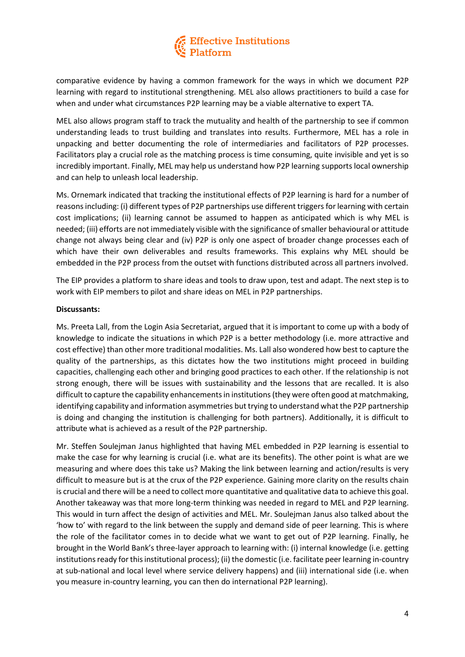# Effective Institutions<br>Platform

comparative evidence by having a common framework for the ways in which we document P2P learning with regard to institutional strengthening. MEL also allows practitioners to build a case for when and under what circumstances P2P learning may be a viable alternative to expert TA.

MEL also allows program staff to track the mutuality and health of the partnership to see if common understanding leads to trust building and translates into results. Furthermore, MEL has a role in unpacking and better documenting the role of intermediaries and facilitators of P2P processes. Facilitators play a crucial role as the matching process is time consuming, quite invisible and yet is so incredibly important. Finally, MEL may help us understand how P2P learning supports local ownership and can help to unleash local leadership.

Ms. Ornemark indicated that tracking the institutional effects of P2P learning is hard for a number of reasonsincluding: (i) different types of P2P partnerships use different triggers for learning with certain cost implications; (ii) learning cannot be assumed to happen as anticipated which is why MEL is needed; (iii) efforts are not immediately visible with the significance of smaller behavioural or attitude change not always being clear and (iv) P2P is only one aspect of broader change processes each of which have their own deliverables and results frameworks. This explains why MEL should be embedded in the P2P process from the outset with functions distributed across all partners involved.

The EIP provides a platform to share ideas and tools to draw upon, test and adapt. The next step is to work with EIP members to pilot and share ideas on MEL in P2P partnerships.

## **Discussants:**

Ms. Preeta Lall, from the Login Asia Secretariat, argued that it is important to come up with a body of knowledge to indicate the situations in which P2P is a better methodology (i.e. more attractive and cost effective) than other more traditional modalities. Ms. Lall also wondered how best to capture the quality of the partnerships, as this dictates how the two institutions might proceed in building capacities, challenging each other and bringing good practices to each other. If the relationship is not strong enough, there will be issues with sustainability and the lessons that are recalled. It is also difficult to capture the capability enhancements in institutions (they were often good at matchmaking, identifying capability and information asymmetries but trying to understand what the P2P partnership is doing and changing the institution is challenging for both partners). Additionally, it is difficult to attribute what is achieved as a result of the P2P partnership.

Mr. Steffen Soulejman Janus highlighted that having MEL embedded in P2P learning is essential to make the case for why learning is crucial (i.e. what are its benefits). The other point is what are we measuring and where does this take us? Making the link between learning and action/results is very difficult to measure but is at the crux of the P2P experience. Gaining more clarity on the results chain is crucial and there will be a need to collect more quantitative and qualitative data to achieve this goal. Another takeaway was that more long-term thinking was needed in regard to MEL and P2P learning. This would in turn affect the design of activities and MEL. Mr. Soulejman Janus also talked about the 'how to' with regard to the link between the supply and demand side of peer learning. This is where the role of the facilitator comes in to decide what we want to get out of P2P learning. Finally, he brought in the World Bank's three-layer approach to learning with: (i) internal knowledge (i.e. getting institutions ready for this institutional process); (ii) the domestic (i.e. facilitate peer learning in-country at sub-national and local level where service delivery happens) and (iii) international side (i.e. when you measure in-country learning, you can then do international P2P learning).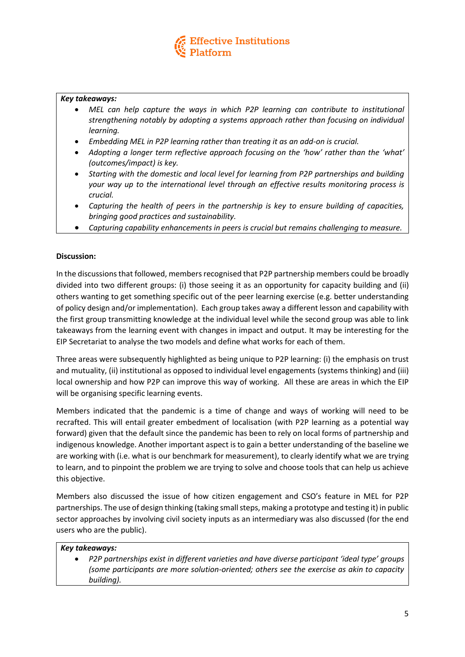

## *Key takeaways:*

- *MEL can help capture the ways in which P2P learning can contribute to institutional strengthening notably by adopting a systems approach rather than focusing on individual learning.*
- *Embedding MEL in P2P learning rather than treating it as an add-on is crucial.*
- *Adopting a longer term reflective approach focusing on the 'how' rather than the 'what' (outcomes/impact) is key.*
- *Starting with the domestic and local level for learning from P2P partnerships and building your way up to the international level through an effective results monitoring process is crucial.*
- *Capturing the health of peers in the partnership is key to ensure building of capacities, bringing good practices and sustainability.*
- *Capturing capability enhancements in peers is crucial but remains challenging to measure.*

## **Discussion:**

In the discussions that followed, members recognised that P2P partnership members could be broadly divided into two different groups: (i) those seeing it as an opportunity for capacity building and (ii) others wanting to get something specific out of the peer learning exercise (e.g. better understanding of policy design and/or implementation). Each group takes away a different lesson and capability with the first group transmitting knowledge at the individual level while the second group was able to link takeaways from the learning event with changes in impact and output. It may be interesting for the EIP Secretariat to analyse the two models and define what works for each of them.

Three areas were subsequently highlighted as being unique to P2P learning: (i) the emphasis on trust and mutuality, (ii) institutional as opposed to individual level engagements (systems thinking) and (iii) local ownership and how P2P can improve this way of working. All these are areas in which the EIP will be organising specific learning events.

Members indicated that the pandemic is a time of change and ways of working will need to be recrafted. This will entail greater embedment of localisation (with P2P learning as a potential way forward) given that the default since the pandemic has been to rely on local forms of partnership and indigenous knowledge. Another important aspect is to gain a better understanding of the baseline we are working with (i.e. what is our benchmark for measurement), to clearly identify what we are trying to learn, and to pinpoint the problem we are trying to solve and choose tools that can help us achieve this objective.

Members also discussed the issue of how citizen engagement and CSO's feature in MEL for P2P partnerships. The use of design thinking (taking small steps, making a prototype and testing it) in public sector approaches by involving civil society inputs as an intermediary was also discussed (for the end users who are the public).

#### *Key takeaways:*

 *P2P partnerships exist in different varieties and have diverse participant 'ideal type' groups (some participants are more solution-oriented; others see the exercise as akin to capacity building).*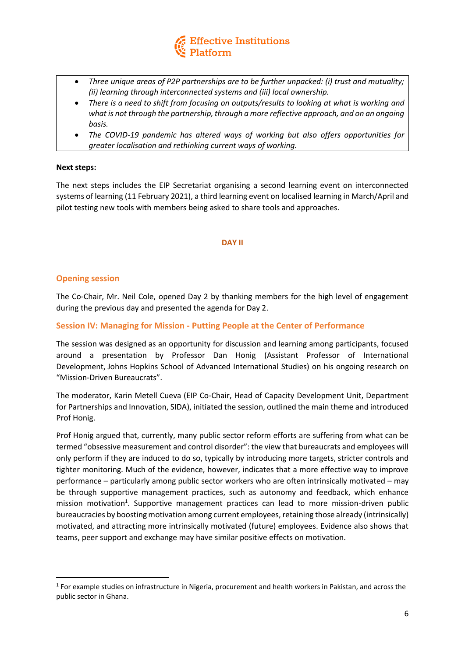

- *Three unique areas of P2P partnerships are to be further unpacked: (i) trust and mutuality; (ii) learning through interconnected systems and (iii) local ownership.*
- *There is a need to shift from focusing on outputs/results to looking at what is working and what is not through the partnership, through a more reflective approach, and on an ongoing basis.*
- *The COVID-19 pandemic has altered ways of working but also offers opportunities for greater localisation and rethinking current ways of working.*

#### **Next steps:**

The next steps includes the EIP Secretariat organising a second learning event on interconnected systems of learning (11 February 2021), a third learning event on localised learning in March/April and pilot testing new tools with members being asked to share tools and approaches.

#### **DAY II**

## **Opening session**

1

The Co-Chair, Mr. Neil Cole, opened Day 2 by thanking members for the high level of engagement during the previous day and presented the agenda for Day 2.

## **Session IV: Managing for Mission - Putting People at the Center of Performance**

The session was designed as an opportunity for discussion and learning among participants, focused around a presentation by Professor Dan Honig (Assistant Professor of International Development, Johns Hopkins School of Advanced International Studies) on his ongoing research on "Mission-Driven Bureaucrats".

The moderator, Karin Metell Cueva (EIP Co-Chair, Head of Capacity Development Unit, Department for Partnerships and Innovation, SIDA), initiated the session, outlined the main theme and introduced Prof Honig.

Prof Honig argued that, currently, many public sector reform efforts are suffering from what can be termed "obsessive measurement and control disorder": the view that bureaucrats and employees will only perform if they are induced to do so, typically by introducing more targets, stricter controls and tighter monitoring. Much of the evidence, however, indicates that a more effective way to improve performance – particularly among public sector workers who are often intrinsically motivated – may be through supportive management practices, such as autonomy and feedback, which enhance mission motivation<sup>1</sup>. Supportive management practices can lead to more mission-driven public bureaucracies by boosting motivation among current employees, retaining those already (intrinsically) motivated, and attracting more intrinsically motivated (future) employees. Evidence also shows that teams, peer support and exchange may have similar positive effects on motivation.

<sup>&</sup>lt;sup>1</sup> For example studies on infrastructure in Nigeria, procurement and health workers in Pakistan, and across the public sector in Ghana.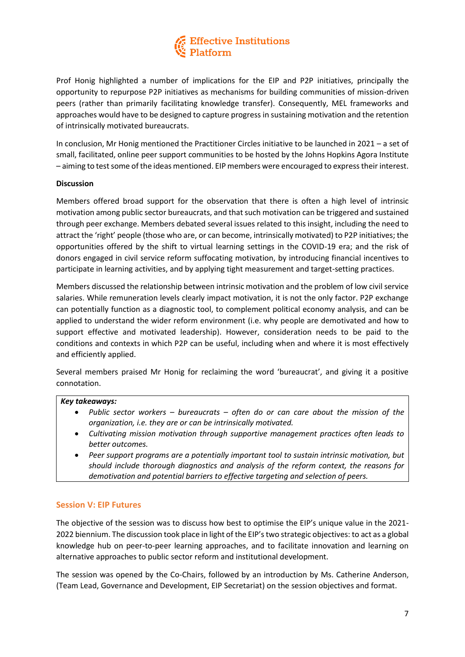

Prof Honig highlighted a number of implications for the EIP and P2P initiatives, principally the opportunity to repurpose P2P initiatives as mechanisms for building communities of mission-driven peers (rather than primarily facilitating knowledge transfer). Consequently, MEL frameworks and approaches would have to be designed to capture progress in sustaining motivation and the retention of intrinsically motivated bureaucrats.

In conclusion, Mr Honig mentioned the Practitioner Circles initiative to be launched in 2021 – a set of small, facilitated, online peer support communities to be hosted by the Johns Hopkins Agora Institute – aiming to test some of the ideas mentioned. EIP members were encouraged to express their interest.

#### **Discussion**

Members offered broad support for the observation that there is often a high level of intrinsic motivation among public sector bureaucrats, and that such motivation can be triggered and sustained through peer exchange. Members debated several issues related to this insight, including the need to attract the 'right' people (those who are, or can become, intrinsically motivated) to P2P initiatives; the opportunities offered by the shift to virtual learning settings in the COVID-19 era; and the risk of donors engaged in civil service reform suffocating motivation, by introducing financial incentives to participate in learning activities, and by applying tight measurement and target-setting practices.

Members discussed the relationship between intrinsic motivation and the problem of low civil service salaries. While remuneration levels clearly impact motivation, it is not the only factor. P2P exchange can potentially function as a diagnostic tool, to complement political economy analysis, and can be applied to understand the wider reform environment (i.e. why people are demotivated and how to support effective and motivated leadership). However, consideration needs to be paid to the conditions and contexts in which P2P can be useful, including when and where it is most effectively and efficiently applied.

Several members praised Mr Honig for reclaiming the word 'bureaucrat', and giving it a positive connotation.

#### *Key takeaways:*

- *Public sector workers – bureaucrats – often do or can care about the mission of the organization, i.e. they are or can be intrinsically motivated.*
- *Cultivating mission motivation through supportive management practices often leads to better outcomes.*
- *Peer support programs are a potentially important tool to sustain intrinsic motivation, but should include thorough diagnostics and analysis of the reform context, the reasons for demotivation and potential barriers to effective targeting and selection of peers.*

#### **Session V: EIP Futures**

The objective of the session was to discuss how best to optimise the EIP's unique value in the 2021- 2022 biennium. The discussion took place in light of the EIP's two strategic objectives: to act as a global knowledge hub on peer-to-peer learning approaches, and to facilitate innovation and learning on alternative approaches to public sector reform and institutional development.

The session was opened by the Co-Chairs, followed by an introduction by Ms. Catherine Anderson, (Team Lead, Governance and Development, EIP Secretariat) on the session objectives and format.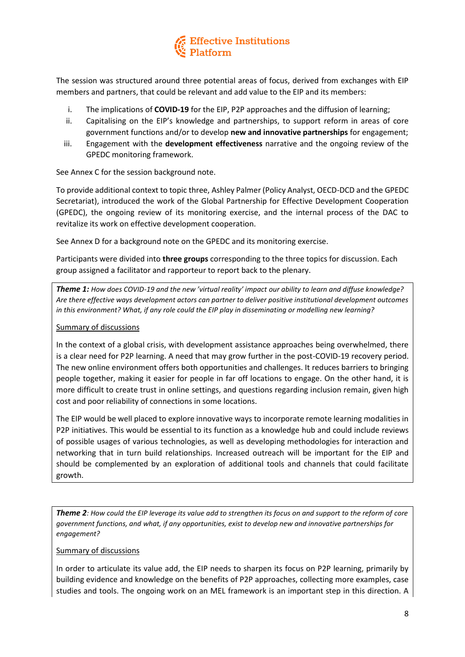

The session was structured around three potential areas of focus, derived from exchanges with EIP members and partners, that could be relevant and add value to the EIP and its members:

- i. The implications of **COVID-19** for the EIP, P2P approaches and the diffusion of learning;
- ii. Capitalising on the EIP's knowledge and partnerships, to support reform in areas of core government functions and/or to develop **new and innovative partnerships** for engagement;
- iii. Engagement with the **development effectiveness** narrative and the ongoing review of the GPEDC monitoring framework.

See Annex C for the session background note.

To provide additional context to topic three, Ashley Palmer (Policy Analyst, OECD-DCD and the GPEDC Secretariat), introduced the work of the Global Partnership for Effective Development Cooperation (GPEDC), the ongoing review of its monitoring exercise, and the internal process of the DAC to revitalize its work on effective development cooperation.

See Annex D for a background note on the GPEDC and its monitoring exercise.

Participants were divided into **three groups** corresponding to the three topics for discussion. Each group assigned a facilitator and rapporteur to report back to the plenary.

*Theme 1: How does COVID-19 and the new 'virtual reality' impact our ability to learn and diffuse knowledge? Are there effective ways development actors can partner to deliver positive institutional development outcomes in this environment? What, if any role could the EIP play in disseminating or modelling new learning?* 

## Summary of discussions

In the context of a global crisis, with development assistance approaches being overwhelmed, there is a clear need for P2P learning. A need that may grow further in the post-COVID-19 recovery period. The new online environment offers both opportunities and challenges. It reduces barriers to bringing people together, making it easier for people in far off locations to engage. On the other hand, it is more difficult to create trust in online settings, and questions regarding inclusion remain, given high cost and poor reliability of connections in some locations.

The EIP would be well placed to explore innovative ways to incorporate remote learning modalities in P2P initiatives. This would be essential to its function as a knowledge hub and could include reviews of possible usages of various technologies, as well as developing methodologies for interaction and networking that in turn build relationships. Increased outreach will be important for the EIP and should be complemented by an exploration of additional tools and channels that could facilitate growth.

*Theme 2: How could the EIP leverage its value add to strengthen its focus on and support to the reform of core government functions, and what, if any opportunities, exist to develop new and innovative partnerships for engagement?* 

#### Summary of discussions

In order to articulate its value add, the EIP needs to sharpen its focus on P2P learning, primarily by building evidence and knowledge on the benefits of P2P approaches, collecting more examples, case studies and tools. The ongoing work on an MEL framework is an important step in this direction. A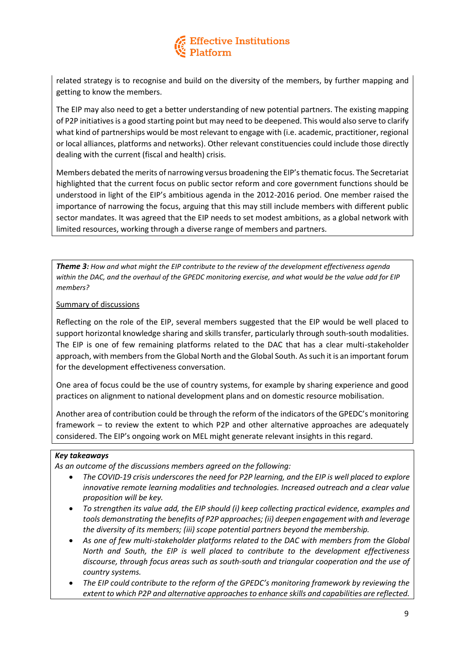

related strategy is to recognise and build on the diversity of the members, by further mapping and getting to know the members.

The EIP may also need to get a better understanding of new potential partners. The existing mapping of P2P initiatives is a good starting point but may need to be deepened. This would also serve to clarify what kind of partnerships would be most relevant to engage with (i.e. academic, practitioner, regional or local alliances, platforms and networks). Other relevant constituencies could include those directly dealing with the current (fiscal and health) crisis.

Members debated the merits of narrowing versus broadening the EIP's thematic focus. The Secretariat highlighted that the current focus on public sector reform and core government functions should be understood in light of the EIP's ambitious agenda in the 2012-2016 period. One member raised the importance of narrowing the focus, arguing that this may still include members with different public sector mandates. It was agreed that the EIP needs to set modest ambitions, as a global network with limited resources, working through a diverse range of members and partners.

*Theme 3: How and what might the EIP contribute to the review of the development effectiveness agenda within the DAC, and the overhaul of the GPEDC monitoring exercise, and what would be the value add for EIP members?* 

#### Summary of discussions

Reflecting on the role of the EIP, several members suggested that the EIP would be well placed to support horizontal knowledge sharing and skills transfer, particularly through south-south modalities. The EIP is one of few remaining platforms related to the DAC that has a clear multi-stakeholder approach, with members from the Global North and the Global South. As such it is an important forum for the development effectiveness conversation.

One area of focus could be the use of country systems, for example by sharing experience and good practices on alignment to national development plans and on domestic resource mobilisation.

Another area of contribution could be through the reform of the indicators of the GPEDC's monitoring framework – to review the extent to which P2P and other alternative approaches are adequately considered. The EIP's ongoing work on MEL might generate relevant insights in this regard.

## *Key takeaways*

*As an outcome of the discussions members agreed on the following:* 

- *The COVID-19 crisis underscores the need for P2P learning, and the EIP is well placed to explore innovative remote learning modalities and technologies. Increased outreach and a clear value proposition will be key.*
- *To strengthen its value add, the EIP should (i) keep collecting practical evidence, examples and tools demonstrating the benefits of P2P approaches; (ii) deepen engagement with and leverage the diversity of its members; (iii) scope potential partners beyond the membership.*
- *As one of few multi-stakeholder platforms related to the DAC with members from the Global North and South, the EIP is well placed to contribute to the development effectiveness discourse, through focus areas such as south-south and triangular cooperation and the use of country systems.*
- *The EIP could contribute to the reform of the GPEDC's monitoring framework by reviewing the extent to which P2P and alternative approaches to enhance skills and capabilities are reflected.*